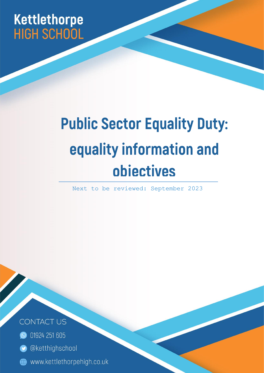# Kettlethorpe **HIGH SCHOOL**

# **Public Sector Equality Duty:** equality information and obiectives

Next to be reviewed: September 2023

Page | 1



- **O** 01924 251 605
- @ketthighschool
- www.kettlethorpehigh.co.uk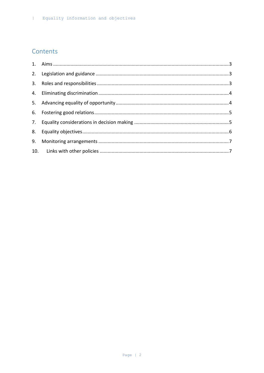# Contents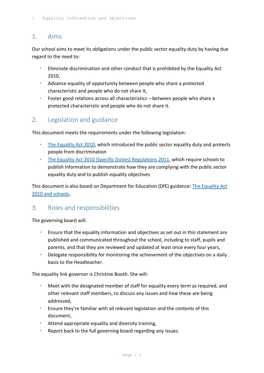#### <span id="page-2-0"></span>1. Aims

Our school aims to meet its obligations under the public sector equality duty by having due regard to the need to:

- Eliminate discrimination and other conduct that is prohibited by the Equality Act 2010,
- Advance equality of opportunity between people who share a protected characteristic and people who do not share it,
- Foster good relations across all characteristics between people who share a protected characteristic and people who do not share it.

# <span id="page-2-1"></span>2. Legislation and guidance

This document meets the requirements under the following legislation:

- [The Equality Act 2010,](http://www.legislation.gov.uk/ukpga/2010/15/contents) which introduced the public sector equality duty and protects people from discrimination
- [The Equality Act 2010 \(Specific Duties\) Regulations 2011,](http://www.legislation.gov.uk/uksi/2011/2260/contents/made) which require schools to publish information to demonstrate how they are complying with the public sector equality duty and to publish equality objectives

This document is also based on Department for Education (DfE) guidance: [The Equality Act](https://www.gov.uk/government/uploads/system/uploads/attachment_data/file/315587/Equality_Act_Advice_Final.pdf)  [2010 and schools.](https://www.gov.uk/government/uploads/system/uploads/attachment_data/file/315587/Equality_Act_Advice_Final.pdf)

# <span id="page-2-2"></span>3. Roles and responsibilities

The governing board will:

- Ensure that the equality information and objectives as set out in this statement are published and communicated throughout the school, including to staff, pupils and parents, and that they are reviewed and updated at least once every four years,
- Delegate responsibility for monitoring the achievement of the objectives on a daily basis to the Headteacher.

The equality link governor is Christine Booth. She will:

- Meet with the designated member of staff for equality every term as required, and other relevant staff members, to discuss any issues and how these are being addressed,
- Ensure they're familiar with all relevant legislation and the contents of this document,
- Attend appropriate equality and diversity training,
- Report back to the full governing board regarding any issues.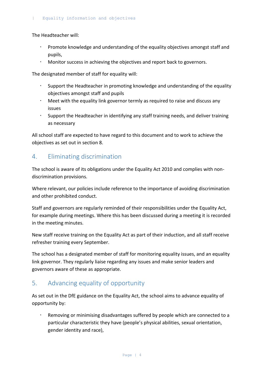The Headteacher will:

- Promote knowledge and understanding of the equality objectives amongst staff and pupils,
- Monitor success in achieving the objectives and report back to governors.

The designated member of staff for equality will:

- Support the Headteacher in promoting knowledge and understanding of the equality objectives amongst staff and pupils
- Meet with the equality link governor termly as required to raise and discuss any issues
- Support the Headteacher in identifying any staff training needs, and deliver training as necessary

All school staff are expected to have regard to this document and to work to achieve the objectives as set out in section 8.

# <span id="page-3-0"></span>4. Eliminating discrimination

The school is aware of its obligations under the Equality Act 2010 and complies with nondiscrimination provisions.

Where relevant, our policies include reference to the importance of avoiding discrimination and other prohibited conduct.

Staff and governors are regularly reminded of their responsibilities under the Equality Act, for example during meetings. Where this has been discussed during a meeting it is recorded in the meeting minutes.

New staff receive training on the Equality Act as part of their induction, and all staff receive refresher training every September.

The school has a designated member of staff for monitoring equality issues, and an equality link governor. They regularly liaise regarding any issues and make senior leaders and governors aware of these as appropriate.

# <span id="page-3-1"></span>5. Advancing equality of opportunity

As set out in the DfE guidance on the Equality Act, the school aims to advance equality of opportunity by:

 Removing or minimising disadvantages suffered by people which are connected to a particular characteristic they have (people's physical abilities, sexual orientation, gender identity and race),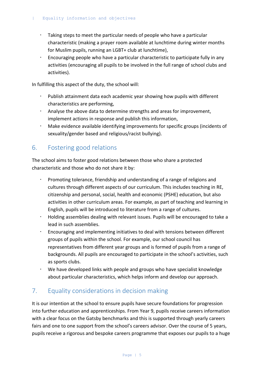- Taking steps to meet the particular needs of people who have a particular characteristic (making a prayer room available at lunchtime during winter months for Muslim pupils, running an LGBT+ club at lunchtime),
- Encouraging people who have a particular characteristic to participate fully in any activities (encouraging all pupils to be involved in the full range of school clubs and activities).

In fulfilling this aspect of the duty, the school will:

- Publish attainment data each academic year showing how pupils with different characteristics are performing,
- Analyse the above data to determine strengths and areas for improvement, implement actions in response and publish this information,
- Make evidence available identifying improvements for specific groups (incidents of sexuality/gender based and religious/racist bullying).

# <span id="page-4-0"></span>6. Fostering good relations

The school aims to foster good relations between those who share a protected characteristic and those who do not share it by:

- Promoting tolerance, friendship and understanding of a range of religions and cultures through different aspects of our curriculum. This includes teaching in RE, citizenship and personal, social, health and economic (PSHE) education, but also activities in other curriculum areas. For example, as part of teaching and learning in English, pupils will be introduced to literature from a range of cultures.
- Holding assemblies dealing with relevant issues. Pupils will be encouraged to take a lead in such assemblies.
- Encouraging and implementing initiatives to deal with tensions between different groups of pupils within the school. For example, our school council has representatives from different year groups and is formed of pupils from a range of backgrounds. All pupils are encouraged to participate in the school's activities, such as sports clubs.
- We have developed links with people and groups who have specialist knowledge about particular characteristics, which helps inform and develop our approach.

# <span id="page-4-1"></span>7. Equality considerations in decision making

It is our intention at the school to ensure pupils have secure foundations for progression into further education and apprenticeships. From Year 9, pupils receive careers information with a clear focus on the Gatsby benchmarks and this is supported through yearly careers fairs and one to one support from the school's careers advisor. Over the course of 5 years, pupils receive a rigorous and bespoke careers programme that exposes our pupils to a huge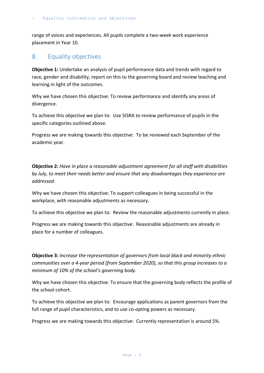range of voices and experiences. All pupils complete a two-week work experience placement in Year 10.

#### <span id="page-5-0"></span>8. Equality objectives

**Objective 1:** Undertake an analysis of pupil performance data and trends with regard to race, gender and disability, report on this to the governing board and review teaching and learning in light of the outcomes.

Why we have chosen this objective: To review performance and identify any areas of divergence.

To achieve this objective we plan to: Use SISRA to review performance of pupils in the specific categories outlined above.

Progress we are making towards this objective: To be reviewed each September of the academic year.

**Objective 2:** *Have in place a reasonable adjustment agreement for all staff with disabilities by July, to meet their needs better and ensure that any disadvantages they experience are addressed.*

Why we have chosen this objective: To support colleagues in being successful in the workplace, with reasonable adjustments as necessary.

To achieve this objective we plan to: Review the reasonable adjustments currently in place.

Progress we are making towards this objective: Reasonable adjustments are already in place for a number of colleagues.

**Objective 3:** *Increase the representation of governors from local black and minority ethnic communities over a 4-year period (from September 2020), so that this group increases to a minimum of 10% of the school's governing body.*

Why we have chosen this objective: To ensure that the governing body reflects the profile of the school cohort.

To achieve this objective we plan to: Encourage applications as parent governors from the full range of pupil characteristics, and to use co-opting powers as necessary.

Progress we are making towards this objective: Currently representation is around 5%.